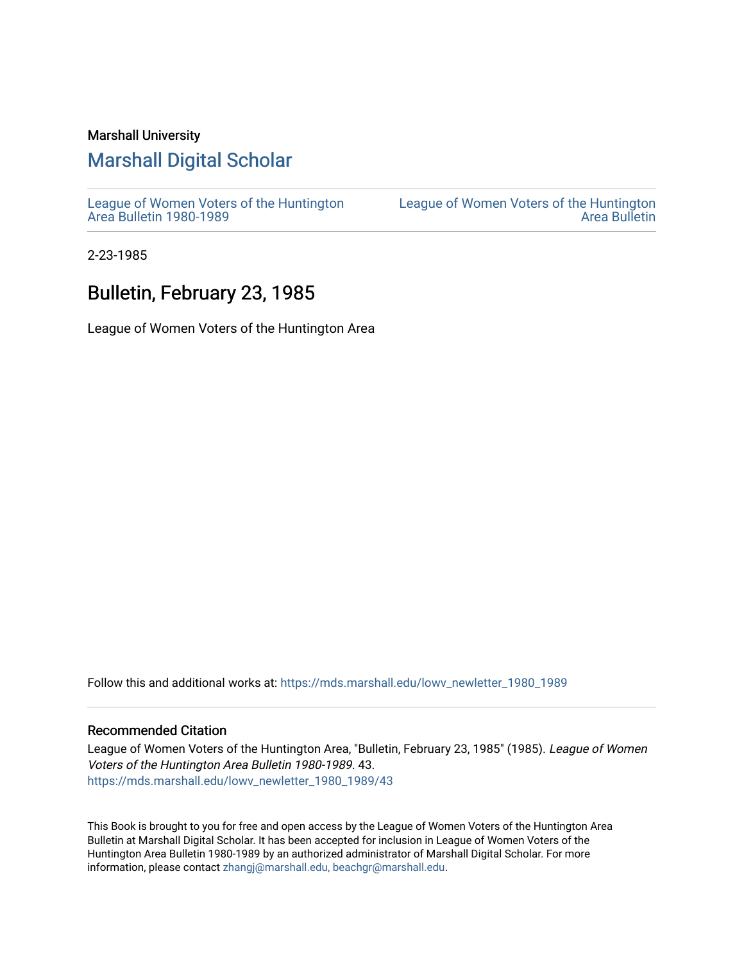### Marshall University

# [Marshall Digital Scholar](https://mds.marshall.edu/)

[League of Women Voters of the Huntington](https://mds.marshall.edu/lowv_newletter_1980_1989) [Area Bulletin 1980-1989](https://mds.marshall.edu/lowv_newletter_1980_1989) 

[League of Women Voters of the Huntington](https://mds.marshall.edu/lowv_newsletter)  [Area Bulletin](https://mds.marshall.edu/lowv_newsletter) 

2-23-1985

# Bulletin, February 23, 1985

League of Women Voters of the Huntington Area

Follow this and additional works at: [https://mds.marshall.edu/lowv\\_newletter\\_1980\\_1989](https://mds.marshall.edu/lowv_newletter_1980_1989?utm_source=mds.marshall.edu%2Flowv_newletter_1980_1989%2F43&utm_medium=PDF&utm_campaign=PDFCoverPages)

### Recommended Citation

League of Women Voters of the Huntington Area, "Bulletin, February 23, 1985" (1985). League of Women Voters of the Huntington Area Bulletin 1980-1989. 43. [https://mds.marshall.edu/lowv\\_newletter\\_1980\\_1989/43](https://mds.marshall.edu/lowv_newletter_1980_1989/43?utm_source=mds.marshall.edu%2Flowv_newletter_1980_1989%2F43&utm_medium=PDF&utm_campaign=PDFCoverPages) 

This Book is brought to you for free and open access by the League of Women Voters of the Huntington Area Bulletin at Marshall Digital Scholar. It has been accepted for inclusion in League of Women Voters of the Huntington Area Bulletin 1980-1989 by an authorized administrator of Marshall Digital Scholar. For more information, please contact [zhangj@marshall.edu, beachgr@marshall.edu](mailto:zhangj@marshall.edu,%20beachgr@marshall.edu).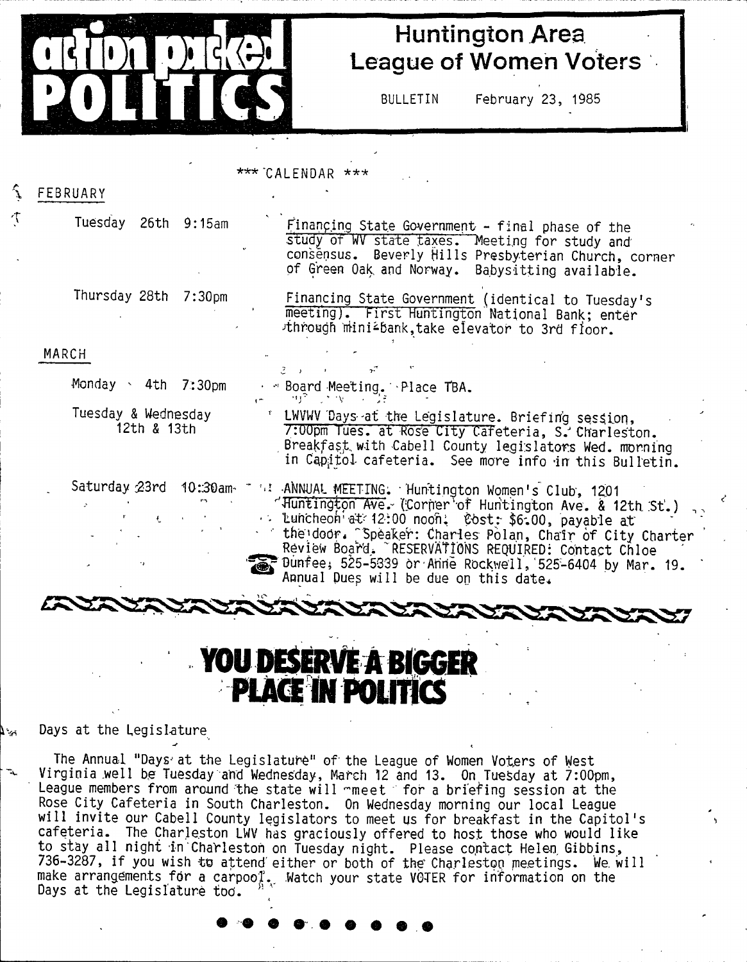

个

# **Huntington Area League of Women Voters**

BULLETIN February 23, 1985

### $***$  CALENDAR  $***$

| FEBRUARY                            |                                                                                                                                                                                                                                                                                                                                                                                         |
|-------------------------------------|-----------------------------------------------------------------------------------------------------------------------------------------------------------------------------------------------------------------------------------------------------------------------------------------------------------------------------------------------------------------------------------------|
| Tuesday 26th 9:15am                 | Financing State Government - final phase of the<br>study of WV state taxes. Meeting for study and<br>consensus. Beverly Hills Presbyterian Church, corner<br>of Green Oak and Norway. Babysitting available.                                                                                                                                                                            |
| Thursday 28th<br>7:30 <sub>pm</sub> | Financing State Government (identical to Tuesday's<br>meeting). First Huntington National Bank; enter<br>through mini <sup>2</sup> bank, take elevator to 3rd floor.                                                                                                                                                                                                                    |
| MARCH                               |                                                                                                                                                                                                                                                                                                                                                                                         |
|                                     |                                                                                                                                                                                                                                                                                                                                                                                         |
| Monday > 4th 7:30pm                 | Board Meeting. Place TBA.<br>ਲਾ ਦਾ                                                                                                                                                                                                                                                                                                                                                      |
| Tuesday & Wednesday<br>12th & 13th  | " LWVWV Days at the Legislature. Briefing session,<br>7:00pm Tues. at Rose City Cafeteria, S. Charleston.<br>Breakfast with Cabell County legislators Wed. morning<br>in Capitol cafeteria. See more info in this Bulletin.                                                                                                                                                             |
| Saturday 23rd<br>$10:30$ am<br>z.   | " "I ANNUAL MEETING. Huntington Women's Club, 1201<br>"Huntington Ave. (Corner of Huntington Ave. & 12th St.)<br>Luncheon at 12:00 noon. Cost: \$6.00, payable at<br>the door. Speaker: Charles Polan, Chair of City Charter<br>Review Board. "RESERVATIONS REQUIRED: Contact Chloe<br>Dunfee, 525-5339 or Anne Rockwell, 525-6404 by Mar. 19.<br>Annual Dues will be due on this date. |
|                                     |                                                                                                                                                                                                                                                                                                                                                                                         |

# **YOU DESERVE A BIGGER<br>PLACE IN POLITICS**

Days at the Legislature تي "

> The Annual "Days' at the Legislature" of the League of Women Voters of West Virginia well be Tuesday and Wednesday, March 12 and 13. On Tuesday at 7:00pm, League members from around the state will mmeet ' for a briefing session at the Rose City Cafeteria in South Charleston. On Wednesday morning our local League will invite our Cabell County legislators to meet us for breakfast in the Capitol's careteria. The Charleston LWV has graciously offered to host those who would like to stay all night in ChaVlestoh on Tuesday night. Please contact Helen Gibbins, 736-3287, if you wish to attend either or both of the Charleston meetings. We will make arrangements for a carpool. Watch your state VOTER for information on the Days at the Legislature too.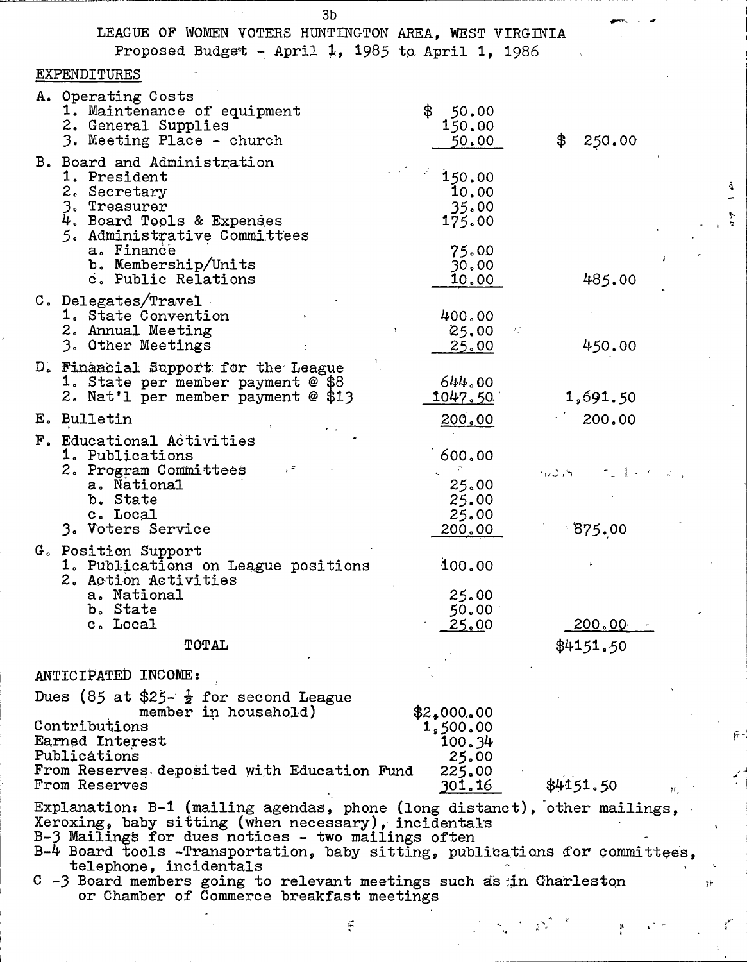| 3 <sub>b</sub>                                                                                                                                                                                                                                                                                                                                                                                                       |                 |                                                                         |
|----------------------------------------------------------------------------------------------------------------------------------------------------------------------------------------------------------------------------------------------------------------------------------------------------------------------------------------------------------------------------------------------------------------------|-----------------|-------------------------------------------------------------------------|
| LEAGUE OF WOMEN VOTERS HUNTINGTON AREA, WEST VIRGINIA                                                                                                                                                                                                                                                                                                                                                                |                 |                                                                         |
| Proposed Budget - April 1, 1985 to April 1, 1986                                                                                                                                                                                                                                                                                                                                                                     |                 |                                                                         |
| EXPENDITURES                                                                                                                                                                                                                                                                                                                                                                                                         |                 |                                                                         |
| A. Operating Costs                                                                                                                                                                                                                                                                                                                                                                                                   |                 |                                                                         |
| 1. Maintenance of equipment                                                                                                                                                                                                                                                                                                                                                                                          | \$50.00         |                                                                         |
| 2. General Supplies                                                                                                                                                                                                                                                                                                                                                                                                  | 150.00          |                                                                         |
| 3. Meeting Place - church                                                                                                                                                                                                                                                                                                                                                                                            | 50.00           | \$<br>250.00                                                            |
| B. Board and Administration                                                                                                                                                                                                                                                                                                                                                                                          |                 |                                                                         |
| 1. President                                                                                                                                                                                                                                                                                                                                                                                                         | 150.00          |                                                                         |
| 2. Secretary<br>3. Treasurer                                                                                                                                                                                                                                                                                                                                                                                         | 10.00<br>35.00  |                                                                         |
| 4. Board Tools & Expenses                                                                                                                                                                                                                                                                                                                                                                                            | 175.00          |                                                                         |
| 5. Administrative Committees                                                                                                                                                                                                                                                                                                                                                                                         |                 |                                                                         |
| a. Finance                                                                                                                                                                                                                                                                                                                                                                                                           | 75.00           |                                                                         |
| b. Membership/Units<br>c. Public Relations                                                                                                                                                                                                                                                                                                                                                                           | 30.00           |                                                                         |
|                                                                                                                                                                                                                                                                                                                                                                                                                      | <u>10.00 </u>   | 485.00                                                                  |
| C. Delegates/Travel<br>1. State Convention                                                                                                                                                                                                                                                                                                                                                                           |                 |                                                                         |
| 2. Annual Meeting                                                                                                                                                                                                                                                                                                                                                                                                    | 400.00<br>25.00 |                                                                         |
| 3. Other Meetings                                                                                                                                                                                                                                                                                                                                                                                                    | <u>25.00</u>    | 450.00                                                                  |
| D. Financial Support for the League                                                                                                                                                                                                                                                                                                                                                                                  |                 |                                                                         |
| 1. State per member payment @ \$8                                                                                                                                                                                                                                                                                                                                                                                    | 644.00          |                                                                         |
| 2. Nat'l per member payment @ \$13                                                                                                                                                                                                                                                                                                                                                                                   | 1047.50         | 1,691.50                                                                |
| E. Bulletin                                                                                                                                                                                                                                                                                                                                                                                                          | 200.00          | 200.00                                                                  |
| F. Educational Activities                                                                                                                                                                                                                                                                                                                                                                                            |                 |                                                                         |
| 1. Publications                                                                                                                                                                                                                                                                                                                                                                                                      | 600.00          |                                                                         |
| 2. Program Committees                                                                                                                                                                                                                                                                                                                                                                                                | л.              | $m\mathcal{L}_1S = \mathcal{L}_2 \cup \mathcal{L}_3 \cup \mathcal{L}_4$ |
| a. National<br>b. State                                                                                                                                                                                                                                                                                                                                                                                              | 25.00<br>25.00  |                                                                         |
| c. Local                                                                                                                                                                                                                                                                                                                                                                                                             | 25.00           |                                                                         |
| 3. Voters Service                                                                                                                                                                                                                                                                                                                                                                                                    | 200,00          | 875.00                                                                  |
| G. Position Support                                                                                                                                                                                                                                                                                                                                                                                                  |                 |                                                                         |
| 1. Publications on League positions                                                                                                                                                                                                                                                                                                                                                                                  | 100.00          |                                                                         |
| 2. Action Activities                                                                                                                                                                                                                                                                                                                                                                                                 |                 |                                                                         |
| a. National<br>b. State                                                                                                                                                                                                                                                                                                                                                                                              | 25.00<br>50.00  |                                                                         |
| c. Local                                                                                                                                                                                                                                                                                                                                                                                                             | 25.00           | 200.00                                                                  |
| TOTAL                                                                                                                                                                                                                                                                                                                                                                                                                |                 | \$4151.50                                                               |
|                                                                                                                                                                                                                                                                                                                                                                                                                      |                 |                                                                         |
| ANTICIPATED INCOME:                                                                                                                                                                                                                                                                                                                                                                                                  |                 |                                                                         |
| Dues (85 at \$25- $\frac{1}{2}$ for second League                                                                                                                                                                                                                                                                                                                                                                    |                 |                                                                         |
| member in household)                                                                                                                                                                                                                                                                                                                                                                                                 | \$2,000.00      |                                                                         |
| Contributions                                                                                                                                                                                                                                                                                                                                                                                                        | 1,500.00        |                                                                         |
| Earned Interest<br>Publications                                                                                                                                                                                                                                                                                                                                                                                      | 100.34          |                                                                         |
| From Reserves deposited with Education Fund                                                                                                                                                                                                                                                                                                                                                                          | 25.00<br>225.00 |                                                                         |
| From Reserves                                                                                                                                                                                                                                                                                                                                                                                                        | 301.16          | \$4151.50<br>$\mathbf{H}$                                               |
| Explanation: B-1 (mailing agendas, phone (long distanct), other mailings,<br>Xeroxing, baby sitting (when necessary), incidentals<br>B-3 Mailings for dues notices - two mailings often<br>B-4 Board tools -Transportation, baby sitting, publications for committees,<br>telephone, incidentals<br>C -3 Board members going to relevant meetings such as in Charleston<br>or Chamber of Commerce breakfast meetings |                 |                                                                         |
| ç                                                                                                                                                                                                                                                                                                                                                                                                                    |                 |                                                                         |
|                                                                                                                                                                                                                                                                                                                                                                                                                      |                 |                                                                         |

 $\hat{r}$ 

 $\left(\frac{1}{2}\right)^{1/2}$ 

 $\int_{0}^{\infty}$ 

小 一 か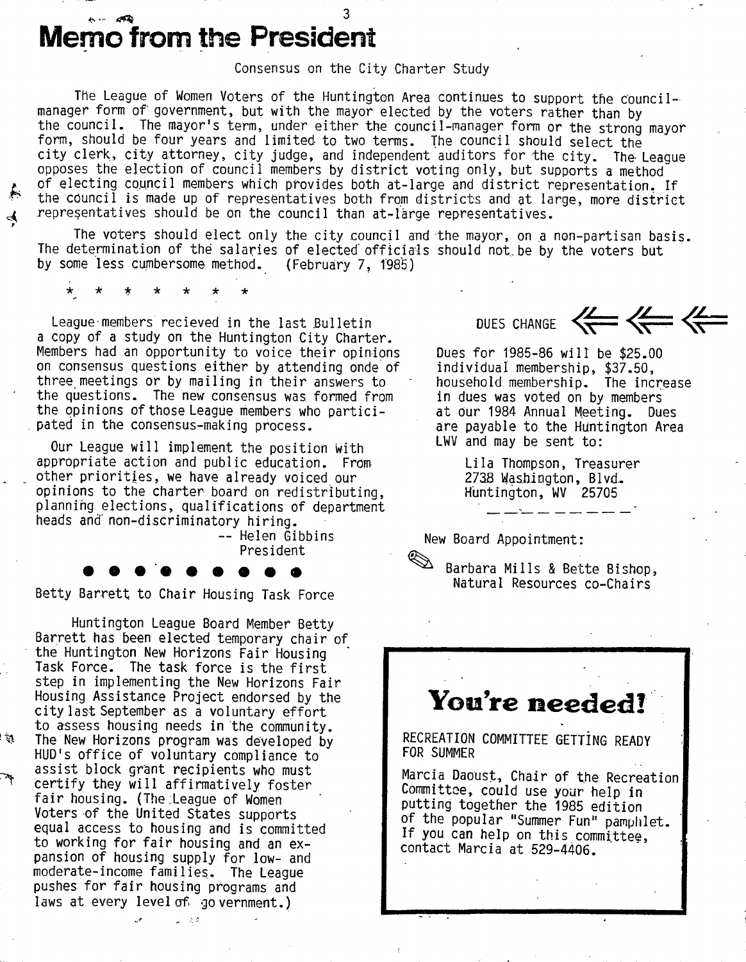# **Memo from the President**

Consensus on the City Charter Study

The League of Women Voters of the Huntington Area continues to support the councilmanager form of government, but with the mayor elected by the voters rather than by the council. The mayor's term, under either the council-manager form or the strong mayor form, should be four years and limited to two terms. The council should select the city clerk, city attorney, city judge, and independent auditors for the city. The- League opposes the election of council members by district voting only, but supports a method of electing council members which provides both at-large and district representation. If *^* the council is made up of representatives both from districts and at large, more district  $\boldsymbol{\mathcal{A}}$  representatives should be on the council than at-large representatives.

The voters should elect only the city council and the mayor, on a non-partisan basis. The determination of the salaries of elected' officials should not.be by the voters but by some less cumbersome method. (February 7, 1985)

*ic -k ic i( ic ic -k*

League-members recieved in the last Bulletin a copy of a study on the Huntington City Charter. Members had an opportunity to voice their opinions on consensus questions either by attending onde of three meetings or by mailing in their answers to the questions. The new consensus was formed from the opinions of those League members who participated in the consensus-making process.

Our League will implement the position with appropriate action and public education. From other priorities, we have already voiced our opinions to the charter board on redistributing, planning elections, qualifications of department heads and' non-discriminatory hiring.

— Helen Gibbins President

Betty Barrett to Chair Housing Task Force

Huntington League Board Member Betty Barrett has been elected temporary chair of the Huntington New Horizons Fair Housing Task Force. The task force is the first step in implementing the New Horizons Fair Housing Assistance Project endorsed by the city last September as a voluntary effort to assess housing needs in the community. The New Horizons program was developed by HUD's office of voluntary compliance to assist block grant recipients who must certify they will affirmatively foster fair housing. (The league of Women Voters of the United States supports equal access to housing and is committed to working for fair housing and an expansion of housing supply for low- and moderate-income families. The League pushes for fair housing programs and laws at every level of go vernment.)

 $\sim$  100  $\sigma$ 

 $\mathfrak{p}^{\sharp}$  !

DUES CHANGE  $\left\langle \leftarrow$ 

Dues for T985-86 will be \$25.00 individual membership, \$37.50, household membership. The increase in dues was voted on by members at dur 1984 Annual Meeting. Dues are payable to the Huntington Area LWV and may be sent to:

> Lila Thompson, Treasurer 273S Washington, Blvd. Huntington, WV 25705

New Board Appointment:

Barbara Mills & Bette Bishop, Natural Resources co-Chairs

# You're needed!

RECREATION COMMITTEE GETTING READY FOR SUMMER

Marcia Daoust, Chair of the Recreation Committee, could use your help in putting together the 1985 edition of the popular "Summer Fun" pamphlet. If you can help on this committee, contact Marcia at 529-4406.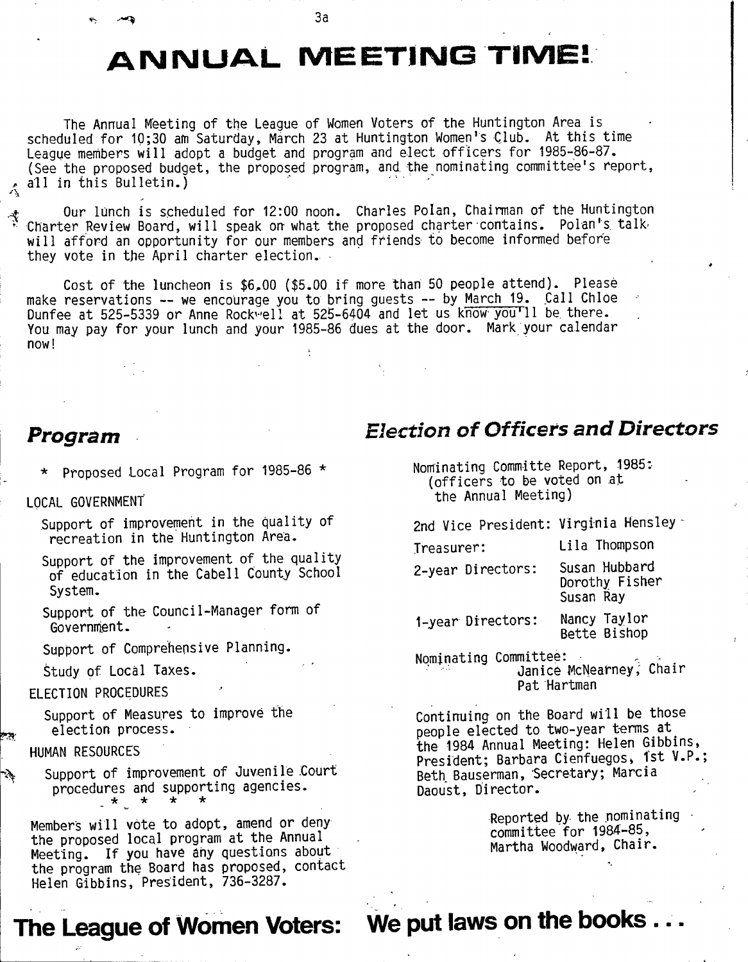**3a**

# **ANNUAL MEETING TIME!**

The Annual Meeting of the League of Women Voters of the Huntington Area is scheduled for 10;30 am Saturday, March 23 at Huntington Women's Club. At this time League members will adopt a budget and program and elect officers for 1985-86-87. (See the proposed budget, the proposed program, and the nominating committee's report,  $\wedge$  all in this Bulletin.)

Our lunch is scheduled for 12:00 noon. Charles Polan, Chairman of the Huntington Charter Review Board, will speak on what the proposed charter-contains. Polan's, talkwill afford an opportunity for our members and friends to become informed before they vote in the April charter election.

Cost of the luncheon is \$6,00 (\$5.00 if more than 50 people attend). Please make reservations -- we encourage you to bring guests -- by March 19. Call Chloe Dunfee at 525-5339 or Anne Rockwell at 525-6404 and let us know you'll be there. You may pay for your lunch and your 1985-86 dues at the door. Mark your calendar now!

# *Program*

*\** Proposed Local Program for 1985-86 \*

LOCAL GOVERNMENT'

Support of improvement in the quality of recreation in the Huntington Area.

Support of the improvement of the quality of education in the Cabell County School System.

Support of the Council-Manager form of Government.

Support of Comprehensive Planning.

Study of Local Taxes.

### ELECTION PROCEDURES

Support of Measures to improve the *y* election process.

### HUMAN RESOURCES

Support of improvement of Juvenile Court procedures and supporting agencies. *•k k k k*

Members will vote to adopt, amend or deny the proposed local program at the Annual Meeting. If you have any questions about the program the Board has proposed, contact Helen Gibbins, President, 736-3287.

**The League of Women Voters:**

Nominating Committe Report, 1985:- (officers to be voted on at the Annual Meeting)

*Election of Officers and Directors* 

2nd Vice President: Virginia Hensley-

Treasurer: Lila Thompson 2-year Directors: Susan Hubbard Dorothy Fisher Susan Ray

1-year Directors: Nancy Taylor Bette Bishop

Nominating Committee: Janice McNearney, Chair Pat Hartman

Continuing on the Board will be those people elected to two-year terms at the 1984 Annual Meeting: Helen Gibbins, President; Barbara Cienfuegos, 1st V.P.; Beth Bauserman, Secretary; Marcia Daoust, Director.

> Reported by the nominating committee for 1984-85, Martha Woodward, Chair.

**We put laws on the books. . .**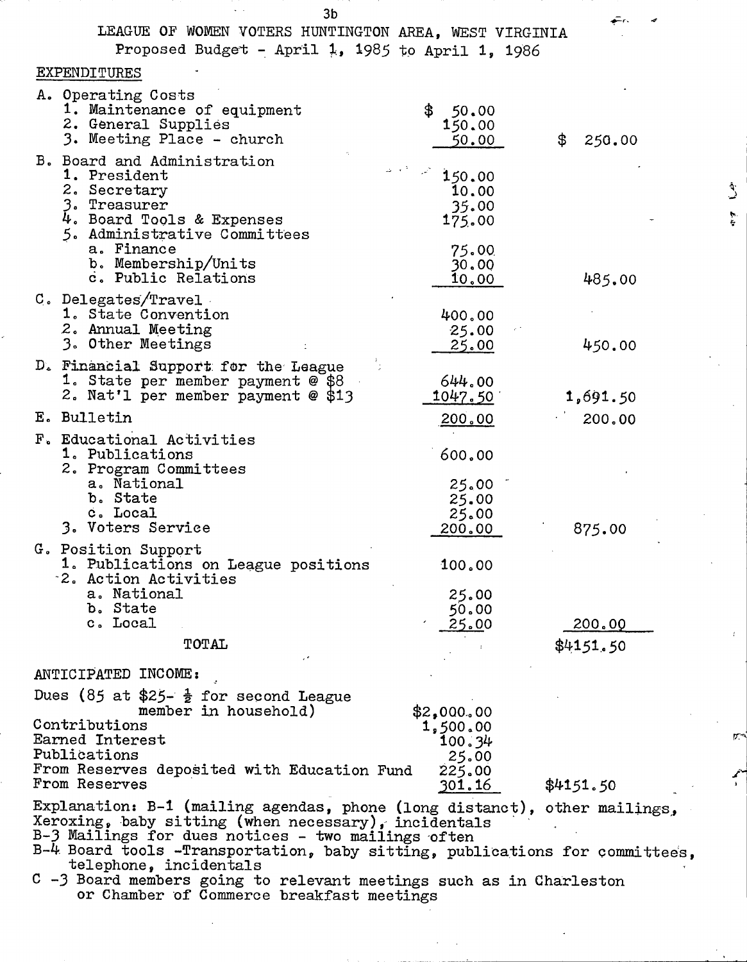| ວບ<br>LEAGUE OF WOMEN VOTERS HUNTINGTON AREA, WEST VIRGINIA<br>Proposed Budget - April 1, 1985 to April 1, 1986                                                                                                                                                                                                                                                                                                      |                                                               |                     |
|----------------------------------------------------------------------------------------------------------------------------------------------------------------------------------------------------------------------------------------------------------------------------------------------------------------------------------------------------------------------------------------------------------------------|---------------------------------------------------------------|---------------------|
| EXPENDITURES                                                                                                                                                                                                                                                                                                                                                                                                         |                                                               |                     |
| A. Operating Costs<br>1. Maintenance of equipment<br>2. General Supplies<br>3. Meeting Place - church                                                                                                                                                                                                                                                                                                                | \$50.00<br>150.00<br>50.00                                    | \$<br>250.00        |
| B. Board and Administration<br>1. President<br>2. Secretary<br>3. Treasurer<br>4. Board Tools & Expenses<br>5. Administrative Committees<br>a. Finance<br>b. Membership/Units<br>c. Public Relations                                                                                                                                                                                                                 | 150.00<br>10.00<br>35.00<br>175.00<br>75.00<br>30.00<br>10,00 | 485.00              |
| C. Delegates/Travel<br>1. State Convention<br>2. Annual Meeting<br>3. Other Meetings                                                                                                                                                                                                                                                                                                                                 | 400.00<br>25.00<br>25.00                                      | 450.00              |
| D. Financial Support for the League<br>1. State per member payment @ \$8<br>2. Nat'l per member payment @ \$13                                                                                                                                                                                                                                                                                                       | 644.00<br>1047.50                                             | 1,691.50            |
| E. Bulletin                                                                                                                                                                                                                                                                                                                                                                                                          | 200.00                                                        | 200,00              |
| F. Educational Activities<br>1. Publications<br>2. Program Committees<br>a. National<br>b. State<br>c. Local<br>3. Voters Service                                                                                                                                                                                                                                                                                    | 600.00<br>25.00<br>25.00<br>25.00<br>200.00                   | 875.00              |
| G. Position Support<br>1. Publications on League positions<br>2. Action Activities<br>a. National<br>b. State<br>c. Local<br>TOTAL                                                                                                                                                                                                                                                                                   | 100.00<br>25.00<br>50.00<br>25.00                             | 200.00<br>\$4151.50 |
| ANTICIPATED INCOME:                                                                                                                                                                                                                                                                                                                                                                                                  |                                                               |                     |
| Dues (85 at \$25- $\frac{1}{2}$ for second League<br>member in household)<br>Contributions<br>Earned Interest<br>Publications<br>From Reserves deposited with Education Fund                                                                                                                                                                                                                                         | \$2,000.00<br>1,500.00<br>100.34<br>25.00<br>225.00           |                     |
| From Reserves                                                                                                                                                                                                                                                                                                                                                                                                        | 301.16                                                        | \$4151.50           |
| Explanation: B-1 (mailing agendas, phone (long distanct), other mailings,<br>Xeroxing, baby sitting (when necessary), incidentals<br>B-3 Mailings for dues notices - two mailings often<br>B-4 Board tools -Transportation, baby sitting, publications for committees,<br>telephone, incidentals<br>C -3 Board members going to relevant meetings such as in Charleston<br>or Chamber of Commerce breakfast meetings |                                                               |                     |

์<br>จ<br>ก

 $\hat{\mathcal{L}}$ 

人名

D